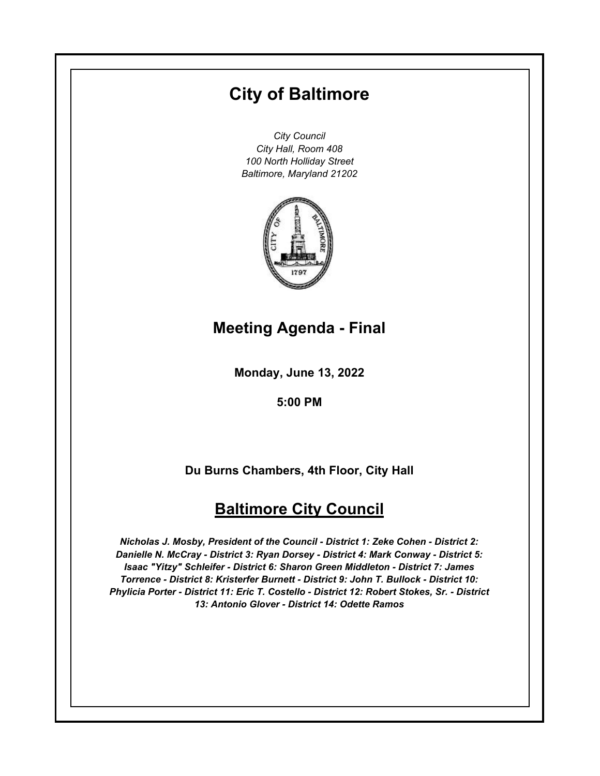# **City of Baltimore**

*City Council City Hall, Room 408 100 North Holliday Street Baltimore, Maryland 21202*



# **Meeting Agenda - Final**

**Monday, June 13, 2022**

**5:00 PM**

**Du Burns Chambers, 4th Floor, City Hall**

# **Baltimore City Council**

*Nicholas J. Mosby, President of the Council - District 1: Zeke Cohen - District 2: Danielle N. McCray - District 3: Ryan Dorsey - District 4: Mark Conway - District 5: Isaac "Yitzy" Schleifer - District 6: Sharon Green Middleton - District 7: James Torrence - District 8: Kristerfer Burnett - District 9: John T. Bullock - District 10: Phylicia Porter - District 11: Eric T. Costello - District 12: Robert Stokes, Sr. - District 13: Antonio Glover - District 14: Odette Ramos*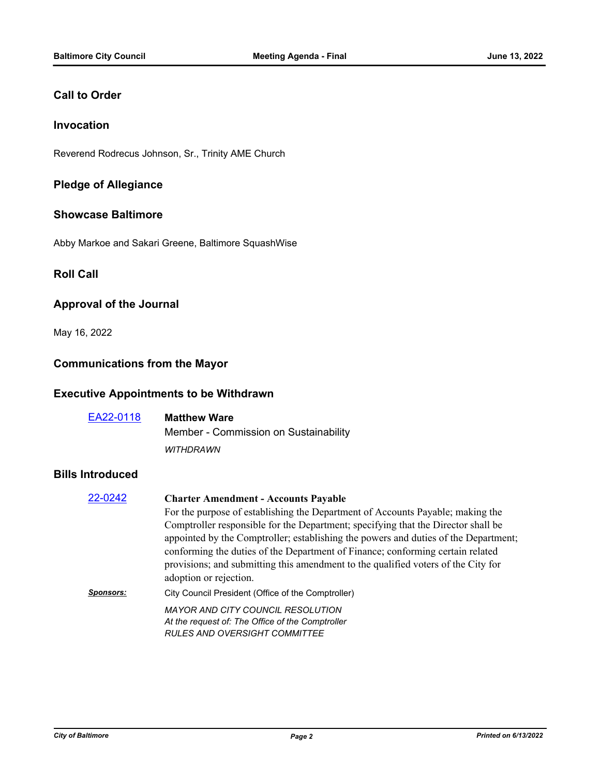### **Call to Order**

### **Invocation**

Reverend Rodrecus Johnson, Sr., Trinity AME Church

### **Pledge of Allegiance**

#### **Showcase Baltimore**

Abby Markoe and Sakari Greene, Baltimore SquashWise

### **Roll Call**

### **Approval of the Journal**

May 16, 2022

# **Communications from the Mayor**

### **Executive Appointments to be Withdrawn**

| EA22-0118 | <b>Matthew Ware</b>                   |
|-----------|---------------------------------------|
|           | Member - Commission on Sustainability |
|           | <b>WITHDRAWN</b>                      |

#### **Bills Introduced**

| <b>Charter Amendment - Accounts Payable</b>                                                                                                                                                                                                                                                                                                                               |
|---------------------------------------------------------------------------------------------------------------------------------------------------------------------------------------------------------------------------------------------------------------------------------------------------------------------------------------------------------------------------|
| For the purpose of establishing the Department of Accounts Payable; making the                                                                                                                                                                                                                                                                                            |
| Comptroller responsible for the Department; specifying that the Director shall be<br>appointed by the Comptroller; establishing the powers and duties of the Department;<br>conforming the duties of the Department of Finance; conforming certain related<br>provisions; and submitting this amendment to the qualified voters of the City for<br>adoption or rejection. |
| City Council President (Office of the Comptroller)                                                                                                                                                                                                                                                                                                                        |
| <b>MAYOR AND CITY COUNCIL RESOLUTION</b><br>At the request of: The Office of the Comptroller<br><b>RULES AND OVERSIGHT COMMITTEE</b>                                                                                                                                                                                                                                      |
|                                                                                                                                                                                                                                                                                                                                                                           |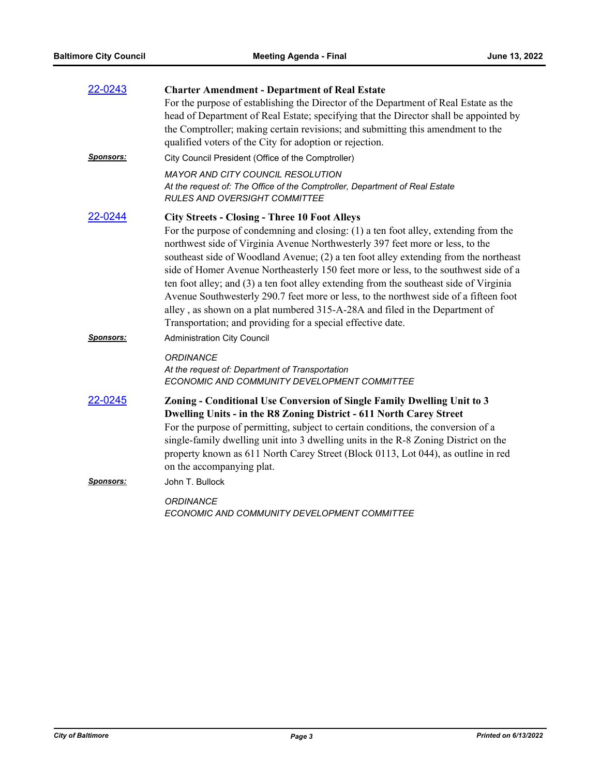| 22-0243          | <b>Charter Amendment - Department of Real Estate</b>                                                                                                                                                                                                                                                                                                                                                                                                                                                                                                                                                                                                                                                                                          |
|------------------|-----------------------------------------------------------------------------------------------------------------------------------------------------------------------------------------------------------------------------------------------------------------------------------------------------------------------------------------------------------------------------------------------------------------------------------------------------------------------------------------------------------------------------------------------------------------------------------------------------------------------------------------------------------------------------------------------------------------------------------------------|
|                  | For the purpose of establishing the Director of the Department of Real Estate as the<br>head of Department of Real Estate; specifying that the Director shall be appointed by<br>the Comptroller; making certain revisions; and submitting this amendment to the<br>qualified voters of the City for adoption or rejection.                                                                                                                                                                                                                                                                                                                                                                                                                   |
| <b>Sponsors:</b> | City Council President (Office of the Comptroller)                                                                                                                                                                                                                                                                                                                                                                                                                                                                                                                                                                                                                                                                                            |
|                  | <b>MAYOR AND CITY COUNCIL RESOLUTION</b><br>At the request of: The Office of the Comptroller, Department of Real Estate<br><b>RULES AND OVERSIGHT COMMITTEE</b>                                                                                                                                                                                                                                                                                                                                                                                                                                                                                                                                                                               |
| 22-0244          | <b>City Streets - Closing - Three 10 Foot Alleys</b><br>For the purpose of condemning and closing: (1) a ten foot alley, extending from the<br>northwest side of Virginia Avenue Northwesterly 397 feet more or less, to the<br>southeast side of Woodland Avenue; (2) a ten foot alley extending from the northeast<br>side of Homer Avenue Northeasterly 150 feet more or less, to the southwest side of a<br>ten foot alley; and (3) a ten foot alley extending from the southeast side of Virginia<br>Avenue Southwesterly 290.7 feet more or less, to the northwest side of a fifteen foot<br>alley, as shown on a plat numbered 315-A-28A and filed in the Department of<br>Transportation; and providing for a special effective date. |
| <u>Sponsors:</u> | <b>Administration City Council</b>                                                                                                                                                                                                                                                                                                                                                                                                                                                                                                                                                                                                                                                                                                            |
|                  | ORDINANCE<br>At the request of: Department of Transportation<br>ECONOMIC AND COMMUNITY DEVELOPMENT COMMITTEE                                                                                                                                                                                                                                                                                                                                                                                                                                                                                                                                                                                                                                  |
| 22-0245          | Zoning - Conditional Use Conversion of Single Family Dwelling Unit to 3<br>Dwelling Units - in the R8 Zoning District - 611 North Carey Street<br>For the purpose of permitting, subject to certain conditions, the conversion of a<br>single-family dwelling unit into 3 dwelling units in the R-8 Zoning District on the<br>property known as 611 North Carey Street (Block 0113, Lot 044), as outline in red<br>on the accompanying plat.                                                                                                                                                                                                                                                                                                  |
| <u>Sponsors:</u> | John T. Bullock                                                                                                                                                                                                                                                                                                                                                                                                                                                                                                                                                                                                                                                                                                                               |
|                  | <b>ORDINANCE</b><br>ECONOMIC AND COMMUNITY DEVELOPMENT COMMITTEE                                                                                                                                                                                                                                                                                                                                                                                                                                                                                                                                                                                                                                                                              |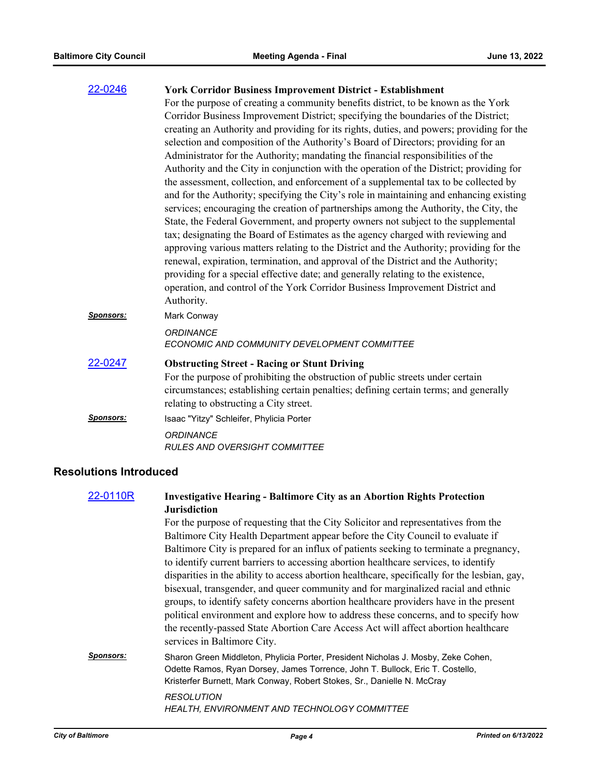| 22-0246          | <b>York Corridor Business Improvement District - Establishment</b>                        |
|------------------|-------------------------------------------------------------------------------------------|
|                  | For the purpose of creating a community benefits district, to be known as the York        |
|                  | Corridor Business Improvement District; specifying the boundaries of the District;        |
|                  | creating an Authority and providing for its rights, duties, and powers; providing for the |
|                  | selection and composition of the Authority's Board of Directors; providing for an         |
|                  | Administrator for the Authority; mandating the financial responsibilities of the          |
|                  | Authority and the City in conjunction with the operation of the District; providing for   |
|                  | the assessment, collection, and enforcement of a supplemental tax to be collected by      |
|                  | and for the Authority; specifying the City's role in maintaining and enhancing existing   |
|                  | services; encouraging the creation of partnerships among the Authority, the City, the     |
|                  | State, the Federal Government, and property owners not subject to the supplemental        |
|                  | tax; designating the Board of Estimates as the agency charged with reviewing and          |
|                  | approving various matters relating to the District and the Authority; providing for the   |
|                  | renewal, expiration, termination, and approval of the District and the Authority;         |
|                  | providing for a special effective date; and generally relating to the existence,          |
|                  | operation, and control of the York Corridor Business Improvement District and             |
|                  | Authority.                                                                                |
| <b>Sponsors:</b> | Mark Conway                                                                               |
|                  | <b>ORDINANCE</b>                                                                          |
|                  | ECONOMIC AND COMMUNITY DEVELOPMENT COMMITTEE                                              |
| 22-0247          | <b>Obstructing Street - Racing or Stunt Driving</b>                                       |
|                  | For the purpose of prohibiting the obstruction of public streets under certain            |
|                  | circumstances; establishing certain penalties; defining certain terms; and generally      |
|                  | relating to obstructing a City street.                                                    |
| <u>Sponsors:</u> | Isaac "Yitzy" Schleifer, Phylicia Porter                                                  |
|                  | <b>ORDINANCE</b>                                                                          |
|                  | <b>RULES AND OVERSIGHT COMMITTEE</b>                                                      |
|                  |                                                                                           |

# **Resolutions Introduced**

| 22-0110R         | <b>Investigative Hearing - Baltimore City as an Abortion Rights Protection</b><br><b>Jurisdiction</b>                                                                                                                                         |
|------------------|-----------------------------------------------------------------------------------------------------------------------------------------------------------------------------------------------------------------------------------------------|
|                  | For the purpose of requesting that the City Solicitor and representatives from the                                                                                                                                                            |
|                  | Baltimore City Health Department appear before the City Council to evaluate if                                                                                                                                                                |
|                  | Baltimore City is prepared for an influx of patients seeking to terminate a pregnancy,                                                                                                                                                        |
|                  | to identify current barriers to accessing abortion healthcare services, to identify                                                                                                                                                           |
|                  | disparities in the ability to access abortion healthcare, specifically for the lesbian, gay,                                                                                                                                                  |
|                  | bisexual, transgender, and queer community and for marginalized racial and ethnic                                                                                                                                                             |
|                  | groups, to identify safety concerns abortion healthcare providers have in the present                                                                                                                                                         |
|                  | political environment and explore how to address these concerns, and to specify how                                                                                                                                                           |
|                  | the recently-passed State Abortion Care Access Act will affect abortion healthcare<br>services in Baltimore City.                                                                                                                             |
| <b>Sponsors:</b> | Sharon Green Middleton, Phylicia Porter, President Nicholas J. Mosby, Zeke Cohen,<br>Odette Ramos, Ryan Dorsey, James Torrence, John T. Bullock, Eric T. Costello,<br>Kristerfer Burnett, Mark Conway, Robert Stokes, Sr., Danielle N. McCray |
|                  | <b>RESOLUTION</b><br><b>HEALTH, ENVIRONMENT AND TECHNOLOGY COMMITTEE</b>                                                                                                                                                                      |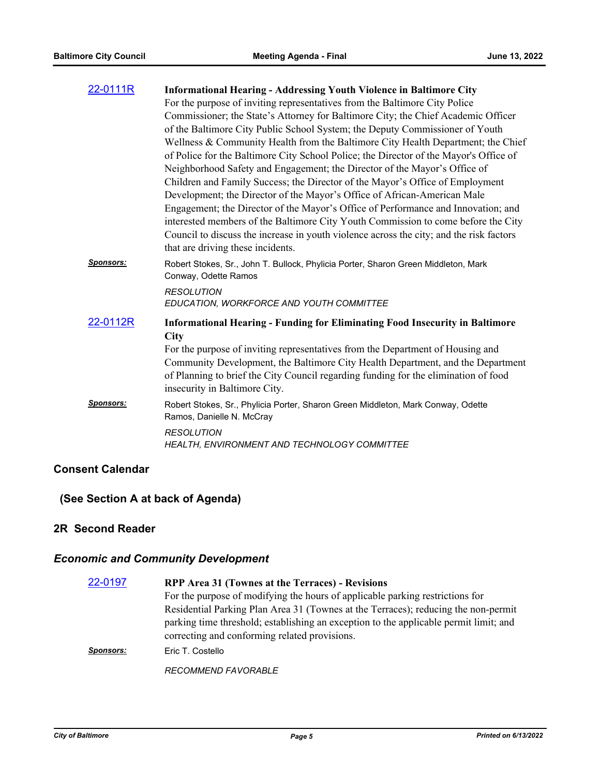| 22-0111R         | <b>Informational Hearing - Addressing Youth Violence in Baltimore City</b>                                                                                                                                                                                                                               |
|------------------|----------------------------------------------------------------------------------------------------------------------------------------------------------------------------------------------------------------------------------------------------------------------------------------------------------|
|                  | For the purpose of inviting representatives from the Baltimore City Police                                                                                                                                                                                                                               |
|                  | Commissioner; the State's Attorney for Baltimore City; the Chief Academic Officer                                                                                                                                                                                                                        |
|                  | of the Baltimore City Public School System; the Deputy Commissioner of Youth                                                                                                                                                                                                                             |
|                  | Wellness & Community Health from the Baltimore City Health Department; the Chief                                                                                                                                                                                                                         |
|                  | of Police for the Baltimore City School Police; the Director of the Mayor's Office of                                                                                                                                                                                                                    |
|                  | Neighborhood Safety and Engagement; the Director of the Mayor's Office of                                                                                                                                                                                                                                |
|                  | Children and Family Success; the Director of the Mayor's Office of Employment                                                                                                                                                                                                                            |
|                  | Development; the Director of the Mayor's Office of African-American Male                                                                                                                                                                                                                                 |
|                  | Engagement; the Director of the Mayor's Office of Performance and Innovation; and<br>interested members of the Baltimore City Youth Commission to come before the City                                                                                                                                   |
|                  | Council to discuss the increase in youth violence across the city; and the risk factors<br>that are driving these incidents.                                                                                                                                                                             |
| <b>Sponsors:</b> | Robert Stokes, Sr., John T. Bullock, Phylicia Porter, Sharon Green Middleton, Mark<br>Conway, Odette Ramos                                                                                                                                                                                               |
|                  | <b>RESOLUTION</b><br>EDUCATION, WORKFORCE AND YOUTH COMMITTEE                                                                                                                                                                                                                                            |
| 22-0112R         | <b>Informational Hearing - Funding for Eliminating Food Insecurity in Baltimore</b>                                                                                                                                                                                                                      |
|                  | <b>City</b><br>For the purpose of inviting representatives from the Department of Housing and<br>Community Development, the Baltimore City Health Department, and the Department<br>of Planning to brief the City Council regarding funding for the elimination of food<br>insecurity in Baltimore City. |
| <b>Sponsors:</b> | Robert Stokes, Sr., Phylicia Porter, Sharon Green Middleton, Mark Conway, Odette<br>Ramos, Danielle N. McCray                                                                                                                                                                                            |
|                  | <b>RESOLUTION</b><br>HEALTH, ENVIRONMENT AND TECHNOLOGY COMMITTEE                                                                                                                                                                                                                                        |

# **Consent Calendar**

# **(See Section A at back of Agenda)**

### **2R Second Reader**

# *Economic and Community Development*

| 22-0197          | RPP Area 31 (Townes at the Terraces) - Revisions                                      |
|------------------|---------------------------------------------------------------------------------------|
|                  | For the purpose of modifying the hours of applicable parking restrictions for         |
|                  | Residential Parking Plan Area 31 (Townes at the Terraces); reducing the non-permit    |
|                  | parking time threshold; establishing an exception to the applicable permit limit; and |
|                  | correcting and conforming related provisions.                                         |
| <b>Sponsors:</b> | Eric T. Costello                                                                      |
|                  | <b>RECOMMEND FAVORABLE</b>                                                            |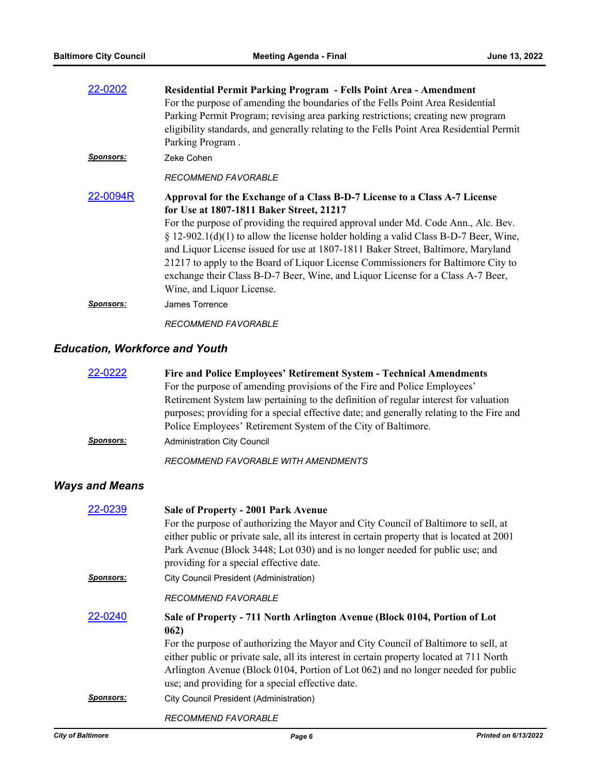| 22-0202          | Residential Permit Parking Program - Fells Point Area - Amendment                        |
|------------------|------------------------------------------------------------------------------------------|
|                  | For the purpose of amending the boundaries of the Fells Point Area Residential           |
|                  | Parking Permit Program; revising area parking restrictions; creating new program         |
|                  | eligibility standards, and generally relating to the Fells Point Area Residential Permit |
|                  | Parking Program.                                                                         |
| <b>Sponsors:</b> | Zeke Cohen                                                                               |
|                  | RECOMMEND FAVORABLE                                                                      |
| 22-0094R         | Approval for the Exchange of a Class B-D-7 License to a Class A-7 License                |
|                  | for Use at 1807-1811 Baker Street, 21217                                                 |
|                  | For the purpose of providing the required approval under Md. Code Ann., Alc. Bev.        |
|                  | $\S 12-902.1(d)(1)$ to allow the license holder holding a valid Class B-D-7 Beer, Wine,  |
|                  | and Liquor License issued for use at 1807-1811 Baker Street, Baltimore, Maryland         |
|                  | 21217 to apply to the Board of Liquor License Commissioners for Baltimore City to        |
|                  | exchange their Class B-D-7 Beer, Wine, and Liquor License for a Class A-7 Beer,          |
|                  | Wine, and Liquor License.                                                                |
| <b>Sponsors:</b> | James Torrence                                                                           |
|                  | <b>RECOMMEND FAVORABLE</b>                                                               |

# *Education, Workforce and Youth*

| 22-0222          | Fire and Police Employees' Retirement System - Technical Amendments                      |
|------------------|------------------------------------------------------------------------------------------|
|                  | For the purpose of amending provisions of the Fire and Police Employees'                 |
|                  | Retirement System law pertaining to the definition of regular interest for valuation     |
|                  | purposes; providing for a special effective date; and generally relating to the Fire and |
|                  | Police Employees' Retirement System of the City of Baltimore.                            |
| <b>Sponsors:</b> | <b>Administration City Council</b>                                                       |
|                  | RECOMMEND FAVORABLE WITH AMENDMENTS                                                      |

# *Ways and Means*

| 22-0239          | Sale of Property - 2001 Park Avenue                                                         |
|------------------|---------------------------------------------------------------------------------------------|
|                  | For the purpose of authorizing the Mayor and City Council of Baltimore to sell, at          |
|                  | either public or private sale, all its interest in certain property that is located at 2001 |
|                  | Park Avenue (Block 3448; Lot 030) and is no longer needed for public use; and               |
|                  | providing for a special effective date.                                                     |
| <u>Sponsors:</u> | City Council President (Administration)                                                     |
|                  | <b>RECOMMEND FAVORABLE</b>                                                                  |
| 22-0240          | Sale of Property - 711 North Arlington Avenue (Block 0104, Portion of Lot                   |
|                  | 062)                                                                                        |
|                  | For the purpose of authorizing the Mayor and City Council of Baltimore to sell, at          |
|                  | either public or private sale, all its interest in certain property located at 711 North    |
|                  | Arlington Avenue (Block 0104, Portion of Lot 062) and no longer needed for public           |
|                  | use; and providing for a special effective date.                                            |
| Sponsors:        | <b>City Council President (Administration)</b>                                              |
|                  | <b>RECOMMEND FAVORABLE</b>                                                                  |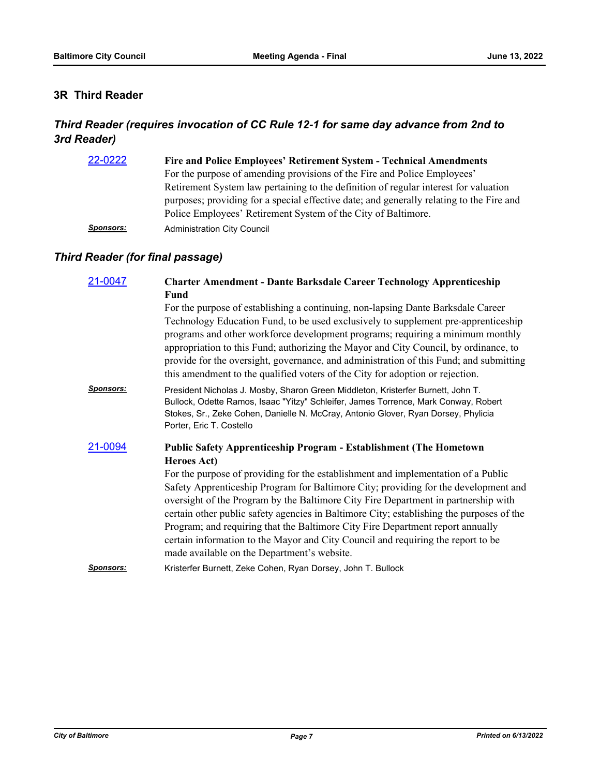### **3R Third Reader**

# *Third Reader (requires invocation of CC Rule 12-1 for same day advance from 2nd to 3rd Reader)*

| 22-0222          | Fire and Police Employees' Retirement System - Technical Amendments                      |
|------------------|------------------------------------------------------------------------------------------|
|                  | For the purpose of amending provisions of the Fire and Police Employees'                 |
|                  | Retirement System law pertaining to the definition of regular interest for valuation     |
|                  | purposes; providing for a special effective date; and generally relating to the Fire and |
|                  | Police Employees' Retirement System of the City of Baltimore.                            |
| <b>Sponsors:</b> | <b>Administration City Council</b>                                                       |

# *Third Reader (for final passage)*

| 21-0047          | <b>Charter Amendment - Dante Barksdale Career Technology Apprenticeship</b>                                                                                                                                                                                                                                                                                                                                                                                                                                                                                                     |
|------------------|---------------------------------------------------------------------------------------------------------------------------------------------------------------------------------------------------------------------------------------------------------------------------------------------------------------------------------------------------------------------------------------------------------------------------------------------------------------------------------------------------------------------------------------------------------------------------------|
|                  | Fund                                                                                                                                                                                                                                                                                                                                                                                                                                                                                                                                                                            |
|                  | For the purpose of establishing a continuing, non-lapsing Dante Barksdale Career<br>Technology Education Fund, to be used exclusively to supplement pre-apprenticeship<br>programs and other workforce development programs; requiring a minimum monthly<br>appropriation to this Fund; authorizing the Mayor and City Council, by ordinance, to<br>provide for the oversight, governance, and administration of this Fund; and submitting<br>this amendment to the qualified voters of the City for adoption or rejection.                                                     |
| <b>Sponsors:</b> | President Nicholas J. Mosby, Sharon Green Middleton, Kristerfer Burnett, John T.<br>Bullock, Odette Ramos, Isaac "Yitzy" Schleifer, James Torrence, Mark Conway, Robert<br>Stokes, Sr., Zeke Cohen, Danielle N. McCray, Antonio Glover, Ryan Dorsey, Phylicia<br>Porter, Eric T. Costello                                                                                                                                                                                                                                                                                       |
| 21-0094          | <b>Public Safety Apprenticeship Program - Establishment (The Hometown</b><br><b>Heroes Act)</b>                                                                                                                                                                                                                                                                                                                                                                                                                                                                                 |
|                  | For the purpose of providing for the establishment and implementation of a Public<br>Safety Apprenticeship Program for Baltimore City; providing for the development and<br>oversight of the Program by the Baltimore City Fire Department in partnership with<br>certain other public safety agencies in Baltimore City; establishing the purposes of the<br>Program; and requiring that the Baltimore City Fire Department report annually<br>certain information to the Mayor and City Council and requiring the report to be<br>made available on the Department's website. |
| <b>Sponsors:</b> | Kristerfer Burnett, Zeke Cohen, Ryan Dorsey, John T. Bullock                                                                                                                                                                                                                                                                                                                                                                                                                                                                                                                    |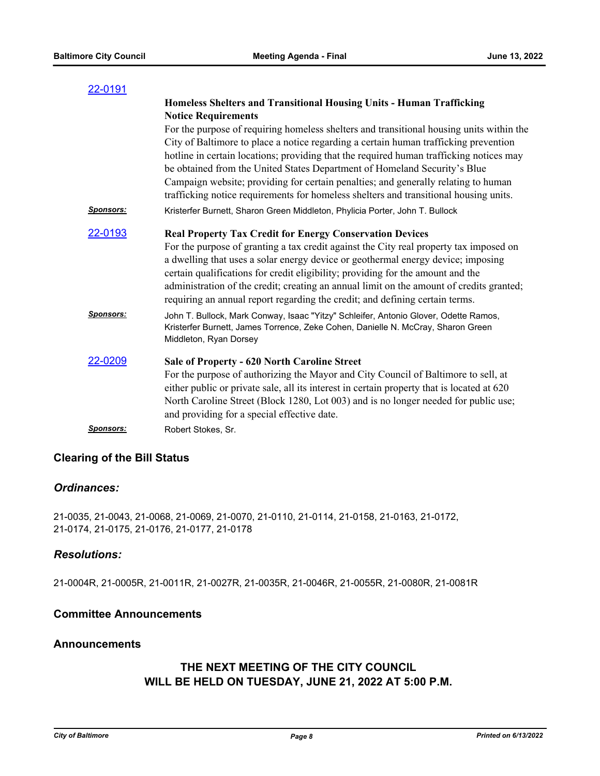| 22-0191          |                                                                                                                                                                                                                                                                                                                                                                                                                                                |
|------------------|------------------------------------------------------------------------------------------------------------------------------------------------------------------------------------------------------------------------------------------------------------------------------------------------------------------------------------------------------------------------------------------------------------------------------------------------|
|                  | Homeless Shelters and Transitional Housing Units - Human Trafficking                                                                                                                                                                                                                                                                                                                                                                           |
|                  | <b>Notice Requirements</b>                                                                                                                                                                                                                                                                                                                                                                                                                     |
|                  | For the purpose of requiring homeless shelters and transitional housing units within the<br>City of Baltimore to place a notice regarding a certain human trafficking prevention<br>hotline in certain locations; providing that the required human trafficking notices may<br>be obtained from the United States Department of Homeland Security's Blue<br>Campaign website; providing for certain penalties; and generally relating to human |
|                  | trafficking notice requirements for homeless shelters and transitional housing units.                                                                                                                                                                                                                                                                                                                                                          |
| <b>Sponsors:</b> | Kristerfer Burnett, Sharon Green Middleton, Phylicia Porter, John T. Bullock                                                                                                                                                                                                                                                                                                                                                                   |
| <u>22-0193</u>   | <b>Real Property Tax Credit for Energy Conservation Devices</b>                                                                                                                                                                                                                                                                                                                                                                                |
|                  | For the purpose of granting a tax credit against the City real property tax imposed on<br>a dwelling that uses a solar energy device or geothermal energy device; imposing<br>certain qualifications for credit eligibility; providing for the amount and the<br>administration of the credit; creating an annual limit on the amount of credits granted;<br>requiring an annual report regarding the credit; and defining certain terms.      |
| <b>Sponsors:</b> | John T. Bullock, Mark Conway, Isaac "Yitzy" Schleifer, Antonio Glover, Odette Ramos,<br>Kristerfer Burnett, James Torrence, Zeke Cohen, Danielle N. McCray, Sharon Green<br>Middleton, Ryan Dorsey                                                                                                                                                                                                                                             |
| 22-0209          | <b>Sale of Property - 620 North Caroline Street</b>                                                                                                                                                                                                                                                                                                                                                                                            |
|                  | For the purpose of authorizing the Mayor and City Council of Baltimore to sell, at                                                                                                                                                                                                                                                                                                                                                             |
|                  | either public or private sale, all its interest in certain property that is located at 620                                                                                                                                                                                                                                                                                                                                                     |
|                  | North Caroline Street (Block 1280, Lot 003) and is no longer needed for public use;<br>and providing for a special effective date.                                                                                                                                                                                                                                                                                                             |
| <b>Sponsors:</b> | Robert Stokes, Sr.                                                                                                                                                                                                                                                                                                                                                                                                                             |
|                  |                                                                                                                                                                                                                                                                                                                                                                                                                                                |

#### **Clearing of the Bill Status**

#### *Ordinances:*

21-0035, 21-0043, 21-0068, 21-0069, 21-0070, 21-0110, 21-0114, 21-0158, 21-0163, 21-0172, 21-0174, 21-0175, 21-0176, 21-0177, 21-0178

#### *Resolutions:*

21-0004R, 21-0005R, 21-0011R, 21-0027R, 21-0035R, 21-0046R, 21-0055R, 21-0080R, 21-0081R

### **Committee Announcements**

#### **Announcements**

# **THE NEXT MEETING OF THE CITY COUNCIL WILL BE HELD ON TUESDAY, JUNE 21, 2022 AT 5:00 P.M.**